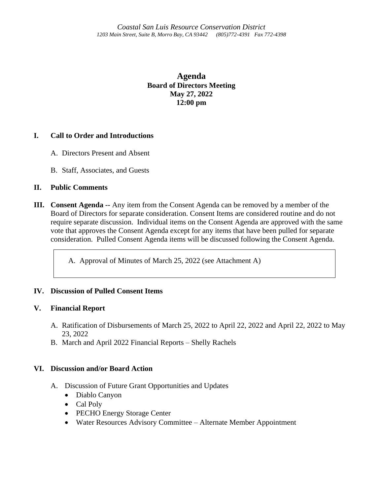**Agenda Board of Directors Meeting May 27, 2022 12:00 pm**

## **I. Call to Order and Introductions**

- A. Directors Present and Absent
- B. Staff, Associates, and Guests

## **II. Public Comments**

**III. Consent Agenda --** Any item from the Consent Agenda can be removed by a member of the Board of Directors for separate consideration. Consent Items are considered routine and do not require separate discussion. Individual items on the Consent Agenda are approved with the same vote that approves the Consent Agenda except for any items that have been pulled for separate consideration. Pulled Consent Agenda items will be discussed following the Consent Agenda.

A. Approval of Minutes of March 25, 2022 (see Attachment A)

# **IV. Discussion of Pulled Consent Items**

### **V. Financial Report**

- A. Ratification of Disbursements of March 25, 2022 to April 22, 2022 and April 22, 2022 to May 23, 2022
- B. March and April 2022 Financial Reports Shelly Rachels

### **VI. Discussion and/or Board Action**

- A. Discussion of Future Grant Opportunities and Updates
	- Diablo Canyon
	- Cal Poly
	- PECHO Energy Storage Center
	- Water Resources Advisory Committee Alternate Member Appointment